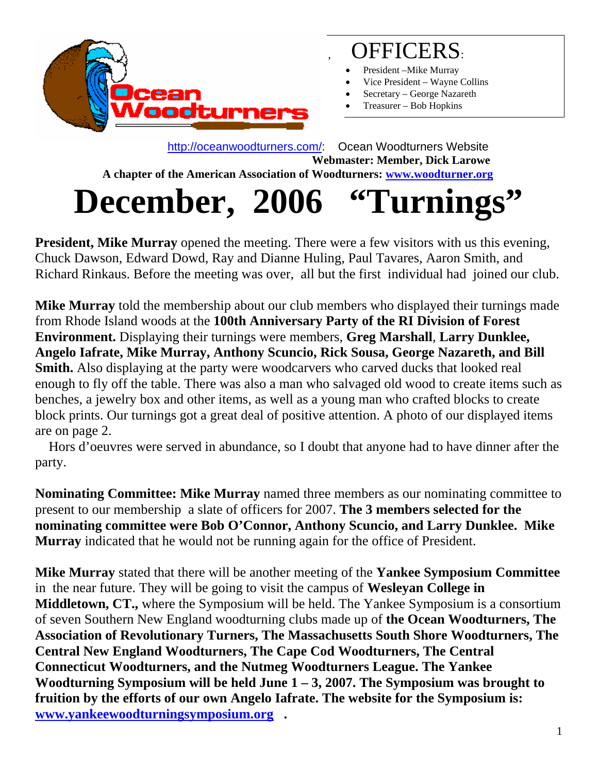

#### , OFFICERS:

- President Mike Murray
- Vice President Wayne Collins
- Secretary George Nazareth
- Treasurer Bob Hopkins

 [http://oceanwoodturners.com/:](http://oceanwoodturners.com/) Ocean Woodturners Website **Webmaster: Member, Dick Larowe A chapter of the American Association of Woodturners: [www.woodturner.org](http://www.woodturner.org/)** 

# **December, 2006 "Turnings"**

**President, Mike Murray** opened the meeting. There were a few visitors with us this evening, Chuck Dawson, Edward Dowd, Ray and Dianne Huling, Paul Tavares, Aaron Smith, and Richard Rinkaus. Before the meeting was over, all but the first individual had joined our club.

**Mike Murray** told the membership about our club members who displayed their turnings made from Rhode Island woods at the **100th Anniversary Party of the RI Division of Forest Environment.** Displaying their turnings were members, **Greg Marshall**, **Larry Dunklee, Angelo Iafrate, Mike Murray, Anthony Scuncio, Rick Sousa, George Nazareth, and Bill Smith.** Also displaying at the party were woodcarvers who carved ducks that looked real enough to fly off the table. There was also a man who salvaged old wood to create items such as benches, a jewelry box and other items, as well as a young man who crafted blocks to create block prints. Our turnings got a great deal of positive attention. A photo of our displayed items are on page 2.

 Hors d'oeuvres were served in abundance, so I doubt that anyone had to have dinner after the party.

**Nominating Committee: Mike Murray** named three members as our nominating committee to present to our membership a slate of officers for 2007. **The 3 members selected for the nominating committee were Bob O'Connor, Anthony Scuncio, and Larry Dunklee. Mike Murray** indicated that he would not be running again for the office of President.

**Mike Murray** stated that there will be another meeting of the **Yankee Symposium Committee**  in the near future. They will be going to visit the campus of **Wesleyan College in Middletown, CT.,** where the Symposium will be held. The Yankee Symposium is a consortium of seven Southern New England woodturning clubs made up of **the Ocean Woodturners, The Association of Revolutionary Turners, The Massachusetts South Shore Woodturners, The Central New England Woodturners, The Cape Cod Woodturners, The Central Connecticut Woodturners, and the Nutmeg Woodturners League. The Yankee Woodturning Symposium will be held June 1 – 3, 2007. The Symposium was brought to fruition by the efforts of our own Angelo Iafrate. The website for the Symposium is: [www.yankeewoodturningsymposium.org](http://www.yankeewoodturningsymposium.org/) .**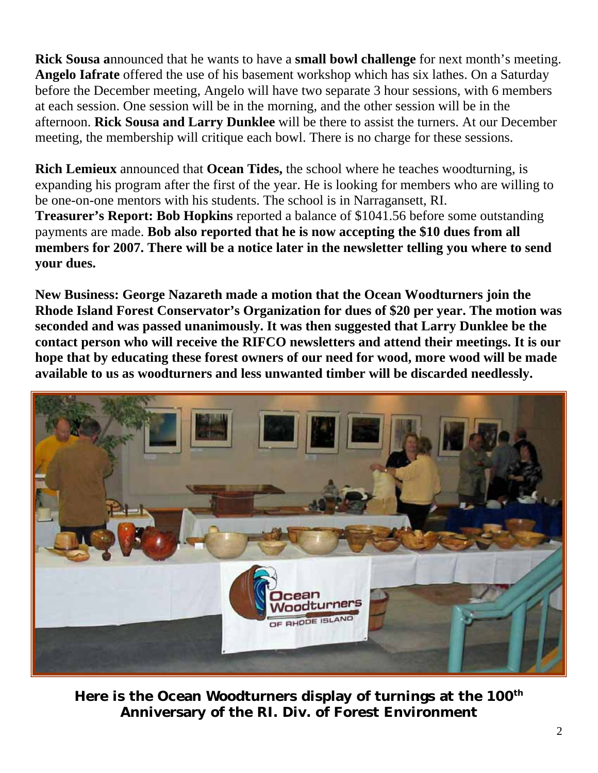**Rick Sousa a**nnounced that he wants to have a **small bowl challenge** for next month's meeting. **Angelo Iafrate** offered the use of his basement workshop which has six lathes. On a Saturday before the December meeting, Angelo will have two separate 3 hour sessions, with 6 members at each session. One session will be in the morning, and the other session will be in the afternoon. **Rick Sousa and Larry Dunklee** will be there to assist the turners. At our December meeting, the membership will critique each bowl. There is no charge for these sessions.

**Rich Lemieux** announced that **Ocean Tides,** the school where he teaches woodturning, is expanding his program after the first of the year. He is looking for members who are willing to be one-on-one mentors with his students. The school is in Narragansett, RI. **Treasurer's Report: Bob Hopkins** reported a balance of \$1041.56 before some outstanding payments are made. **Bob also reported that he is now accepting the \$10 dues from all members for 2007. There will be a notice later in the newsletter telling you where to send your dues.** 

**New Business: George Nazareth made a motion that the Ocean Woodturners join the Rhode Island Forest Conservator's Organization for dues of \$20 per year. The motion was seconded and was passed unanimously. It was then suggested that Larry Dunklee be the contact person who will receive the RIFCO newsletters and attend their meetings. It is our hope that by educating these forest owners of our need for wood, more wood will be made available to us as woodturners and less unwanted timber will be discarded needlessly.**



**Here i 100th s the Ocean Woodturners display of turnings at theAnniversary of the RI. Div. of Forest Environment**